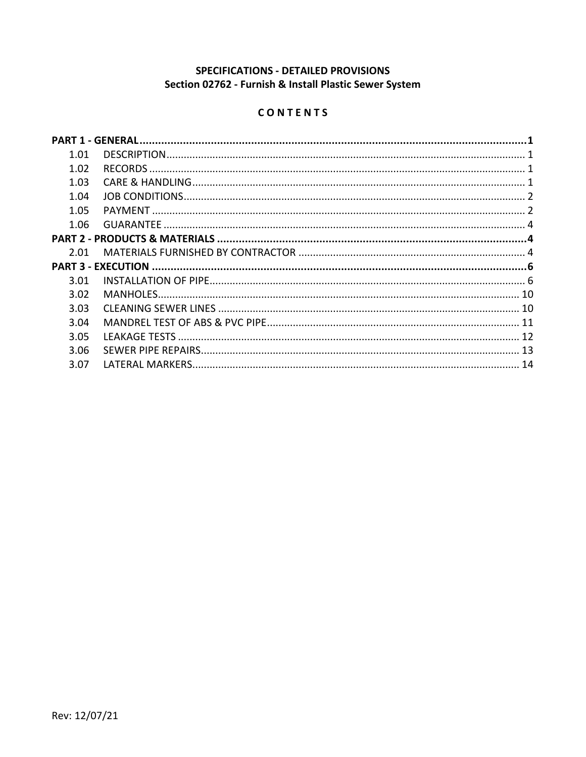# SPECIFICATIONS - DETAILED PROVISIONS Section 02762 - Furnish & Install Plastic Sewer System

# CONTENTS

| 1.01 |  |
|------|--|
| 1.02 |  |
| 1.03 |  |
| 1.04 |  |
| 1.05 |  |
| 1.06 |  |
|      |  |
| 2.01 |  |
|      |  |
|      |  |
| 3.01 |  |
| 3.02 |  |
| 3.03 |  |
| 3.04 |  |
| 3.05 |  |
| 3.06 |  |
| 3.07 |  |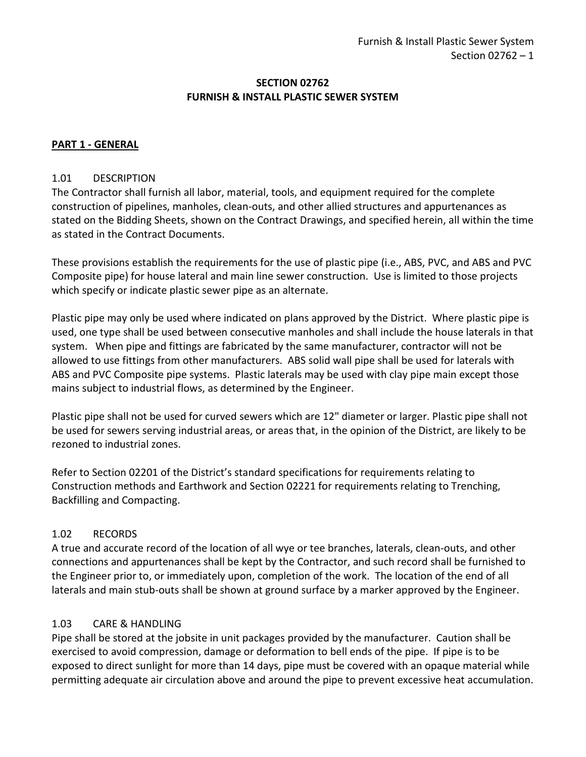#### **SECTION 02762 FURNISH & INSTALL PLASTIC SEWER SYSTEM**

#### <span id="page-2-0"></span>**PART 1 - GENERAL**

#### <span id="page-2-1"></span>1.01 DESCRIPTION

The Contractor shall furnish all labor, material, tools, and equipment required for the complete construction of pipelines, manholes, clean-outs, and other allied structures and appurtenances as stated on the Bidding Sheets, shown on the Contract Drawings, and specified herein, all within the time as stated in the Contract Documents.

These provisions establish the requirements for the use of plastic pipe (i.e., ABS, PVC, and ABS and PVC Composite pipe) for house lateral and main line sewer construction. Use is limited to those projects which specify or indicate plastic sewer pipe as an alternate.

Plastic pipe may only be used where indicated on plans approved by the District. Where plastic pipe is used, one type shall be used between consecutive manholes and shall include the house laterals in that system. When pipe and fittings are fabricated by the same manufacturer, contractor will not be allowed to use fittings from other manufacturers. ABS solid wall pipe shall be used for laterals with ABS and PVC Composite pipe systems. Plastic laterals may be used with clay pipe main except those mains subject to industrial flows, as determined by the Engineer.

Plastic pipe shall not be used for curved sewers which are 12" diameter or larger. Plastic pipe shall not be used for sewers serving industrial areas, or areas that, in the opinion of the District, are likely to be rezoned to industrial zones.

Refer to Section 02201 of the District's standard specifications for requirements relating to Construction methods and Earthwork and Section 02221 for requirements relating to Trenching, Backfilling and Compacting.

#### <span id="page-2-2"></span>1.02 RECORDS

A true and accurate record of the location of all wye or tee branches, laterals, clean-outs, and other connections and appurtenances shall be kept by the Contractor, and such record shall be furnished to the Engineer prior to, or immediately upon, completion of the work. The location of the end of all laterals and main stub-outs shall be shown at ground surface by a marker approved by the Engineer.

#### <span id="page-2-3"></span>1.03 CARE & HANDLING

Pipe shall be stored at the jobsite in unit packages provided by the manufacturer. Caution shall be exercised to avoid compression, damage or deformation to bell ends of the pipe. If pipe is to be exposed to direct sunlight for more than 14 days, pipe must be covered with an opaque material while permitting adequate air circulation above and around the pipe to prevent excessive heat accumulation.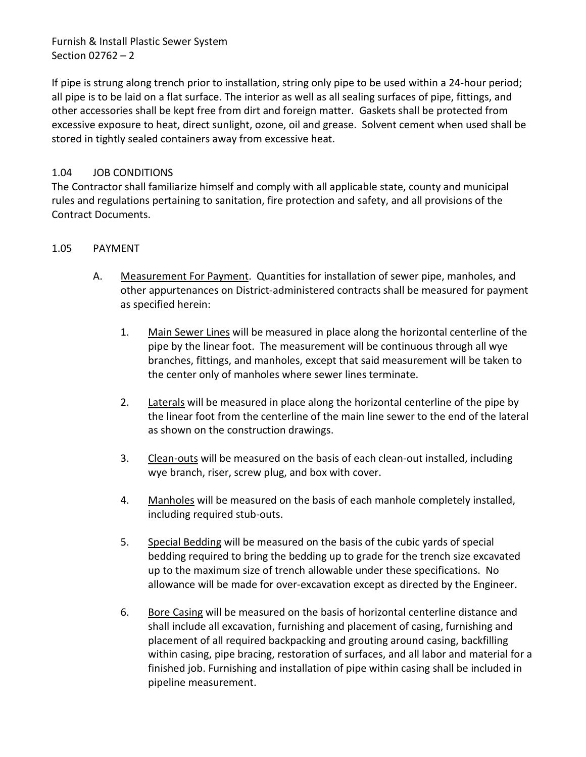If pipe is strung along trench prior to installation, string only pipe to be used within a 24-hour period; all pipe is to be laid on a flat surface. The interior as well as all sealing surfaces of pipe, fittings, and other accessories shall be kept free from dirt and foreign matter. Gaskets shall be protected from excessive exposure to heat, direct sunlight, ozone, oil and grease. Solvent cement when used shall be stored in tightly sealed containers away from excessive heat.

## <span id="page-3-0"></span>1.04 JOB CONDITIONS

The Contractor shall familiarize himself and comply with all applicable state, county and municipal rules and regulations pertaining to sanitation, fire protection and safety, and all provisions of the Contract Documents.

#### <span id="page-3-1"></span>1.05 PAYMENT

- A. Measurement For Payment. Quantities for installation of sewer pipe, manholes, and other appurtenances on District-administered contracts shall be measured for payment as specified herein:
	- 1. Main Sewer Lines will be measured in place along the horizontal centerline of the pipe by the linear foot. The measurement will be continuous through all wye branches, fittings, and manholes, except that said measurement will be taken to the center only of manholes where sewer lines terminate.
	- 2. Laterals will be measured in place along the horizontal centerline of the pipe by the linear foot from the centerline of the main line sewer to the end of the lateral as shown on the construction drawings.
	- 3. Clean-outs will be measured on the basis of each clean-out installed, including wye branch, riser, screw plug, and box with cover.
	- 4. Manholes will be measured on the basis of each manhole completely installed, including required stub-outs.
	- 5. Special Bedding will be measured on the basis of the cubic yards of special bedding required to bring the bedding up to grade for the trench size excavated up to the maximum size of trench allowable under these specifications. No allowance will be made for over-excavation except as directed by the Engineer.
	- 6. Bore Casing will be measured on the basis of horizontal centerline distance and shall include all excavation, furnishing and placement of casing, furnishing and placement of all required backpacking and grouting around casing, backfilling within casing, pipe bracing, restoration of surfaces, and all labor and material for a finished job. Furnishing and installation of pipe within casing shall be included in pipeline measurement.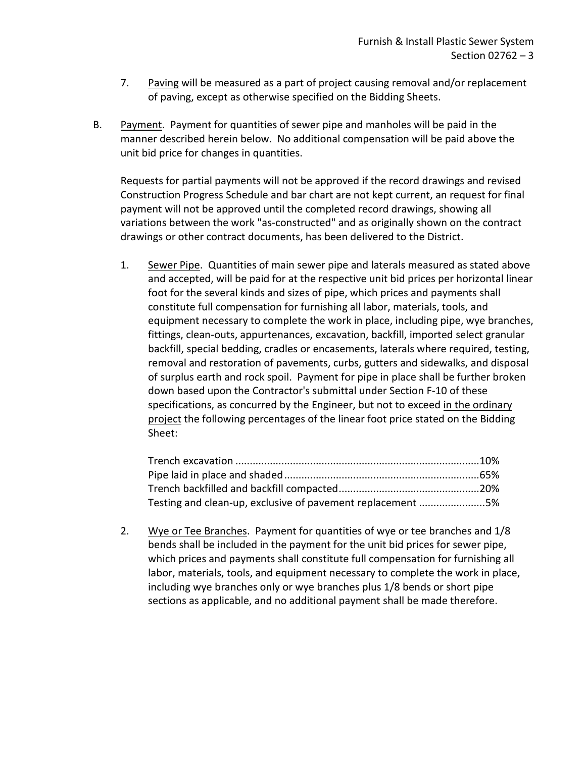- 7. Paving will be measured as a part of project causing removal and/or replacement of paving, except as otherwise specified on the Bidding Sheets.
- B. Payment. Payment for quantities of sewer pipe and manholes will be paid in the manner described herein below. No additional compensation will be paid above the unit bid price for changes in quantities.

Requests for partial payments will not be approved if the record drawings and revised Construction Progress Schedule and bar chart are not kept current, an request for final payment will not be approved until the completed record drawings, showing all variations between the work "as-constructed" and as originally shown on the contract drawings or other contract documents, has been delivered to the District.

1. Sewer Pipe. Quantities of main sewer pipe and laterals measured as stated above and accepted, will be paid for at the respective unit bid prices per horizontal linear foot for the several kinds and sizes of pipe, which prices and payments shall constitute full compensation for furnishing all labor, materials, tools, and equipment necessary to complete the work in place, including pipe, wye branches, fittings, clean-outs, appurtenances, excavation, backfill, imported select granular backfill, special bedding, cradles or encasements, laterals where required, testing, removal and restoration of pavements, curbs, gutters and sidewalks, and disposal of surplus earth and rock spoil. Payment for pipe in place shall be further broken down based upon the Contractor's submittal under Section F-10 of these specifications, as concurred by the Engineer, but not to exceed in the ordinary project the following percentages of the linear foot price stated on the Bidding Sheet:

| Testing and clean-up, exclusive of pavement replacement 5% |  |
|------------------------------------------------------------|--|

2. Wye or Tee Branches. Payment for quantities of wye or tee branches and 1/8 bends shall be included in the payment for the unit bid prices for sewer pipe, which prices and payments shall constitute full compensation for furnishing all labor, materials, tools, and equipment necessary to complete the work in place, including wye branches only or wye branches plus 1/8 bends or short pipe sections as applicable, and no additional payment shall be made therefore.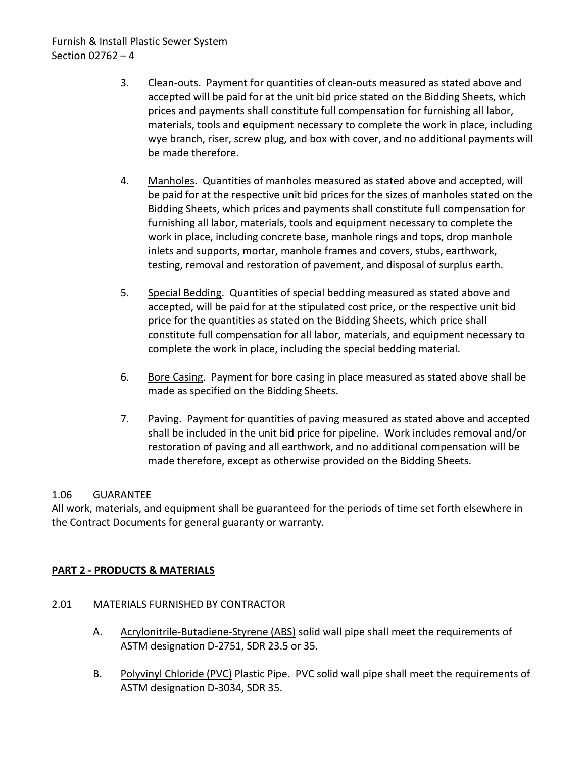- 3. Clean-outs. Payment for quantities of clean-outs measured as stated above and accepted will be paid for at the unit bid price stated on the Bidding Sheets, which prices and payments shall constitute full compensation for furnishing all labor, materials, tools and equipment necessary to complete the work in place, including wye branch, riser, screw plug, and box with cover, and no additional payments will be made therefore.
- 4. Manholes. Quantities of manholes measured as stated above and accepted, will be paid for at the respective unit bid prices for the sizes of manholes stated on the Bidding Sheets, which prices and payments shall constitute full compensation for furnishing all labor, materials, tools and equipment necessary to complete the work in place, including concrete base, manhole rings and tops, drop manhole inlets and supports, mortar, manhole frames and covers, stubs, earthwork, testing, removal and restoration of pavement, and disposal of surplus earth.
- 5. Special Bedding. Quantities of special bedding measured as stated above and accepted, will be paid for at the stipulated cost price, or the respective unit bid price for the quantities as stated on the Bidding Sheets, which price shall constitute full compensation for all labor, materials, and equipment necessary to complete the work in place, including the special bedding material.
- 6. Bore Casing. Payment for bore casing in place measured as stated above shall be made as specified on the Bidding Sheets.
- 7. Paving. Payment for quantities of paving measured as stated above and accepted shall be included in the unit bid price for pipeline. Work includes removal and/or restoration of paving and all earthwork, and no additional compensation will be made therefore, except as otherwise provided on the Bidding Sheets.

#### <span id="page-5-0"></span>1.06 GUARANTEE

All work, materials, and equipment shall be guaranteed for the periods of time set forth elsewhere in the Contract Documents for general guaranty or warranty.

#### <span id="page-5-1"></span>**PART 2 - PRODUCTS & MATERIALS**

- <span id="page-5-2"></span>2.01 MATERIALS FURNISHED BY CONTRACTOR
	- A. Acrylonitrile-Butadiene-Styrene (ABS) solid wall pipe shall meet the requirements of ASTM designation D-2751, SDR 23.5 or 35.
	- B. Polyvinyl Chloride (PVC) Plastic Pipe. PVC solid wall pipe shall meet the requirements of ASTM designation D-3034, SDR 35.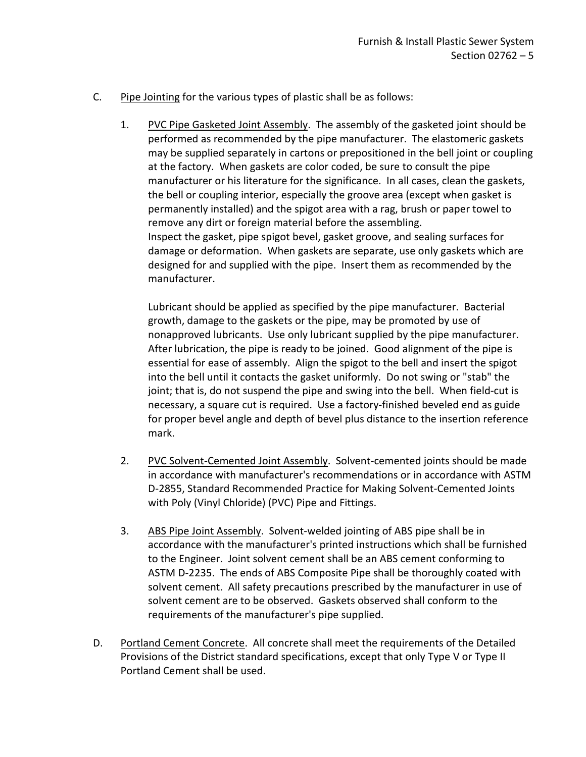- C. Pipe Jointing for the various types of plastic shall be as follows:
	- 1. PVC Pipe Gasketed Joint Assembly. The assembly of the gasketed joint should be performed as recommended by the pipe manufacturer. The elastomeric gaskets may be supplied separately in cartons or prepositioned in the bell joint or coupling at the factory. When gaskets are color coded, be sure to consult the pipe manufacturer or his literature for the significance. In all cases, clean the gaskets, the bell or coupling interior, especially the groove area (except when gasket is permanently installed) and the spigot area with a rag, brush or paper towel to remove any dirt or foreign material before the assembling. Inspect the gasket, pipe spigot bevel, gasket groove, and sealing surfaces for damage or deformation. When gaskets are separate, use only gaskets which are designed for and supplied with the pipe. Insert them as recommended by the manufacturer.

Lubricant should be applied as specified by the pipe manufacturer. Bacterial growth, damage to the gaskets or the pipe, may be promoted by use of nonapproved lubricants. Use only lubricant supplied by the pipe manufacturer. After lubrication, the pipe is ready to be joined. Good alignment of the pipe is essential for ease of assembly. Align the spigot to the bell and insert the spigot into the bell until it contacts the gasket uniformly. Do not swing or "stab" the joint; that is, do not suspend the pipe and swing into the bell. When field-cut is necessary, a square cut is required. Use a factory-finished beveled end as guide for proper bevel angle and depth of bevel plus distance to the insertion reference mark.

- 2. PVC Solvent-Cemented Joint Assembly. Solvent-cemented joints should be made in accordance with manufacturer's recommendations or in accordance with ASTM D-2855, Standard Recommended Practice for Making Solvent-Cemented Joints with Poly (Vinyl Chloride) (PVC) Pipe and Fittings.
- 3. ABS Pipe Joint Assembly. Solvent-welded jointing of ABS pipe shall be in accordance with the manufacturer's printed instructions which shall be furnished to the Engineer. Joint solvent cement shall be an ABS cement conforming to ASTM D-2235. The ends of ABS Composite Pipe shall be thoroughly coated with solvent cement. All safety precautions prescribed by the manufacturer in use of solvent cement are to be observed. Gaskets observed shall conform to the requirements of the manufacturer's pipe supplied.
- D. Portland Cement Concrete. All concrete shall meet the requirements of the Detailed Provisions of the District standard specifications, except that only Type V or Type II Portland Cement shall be used.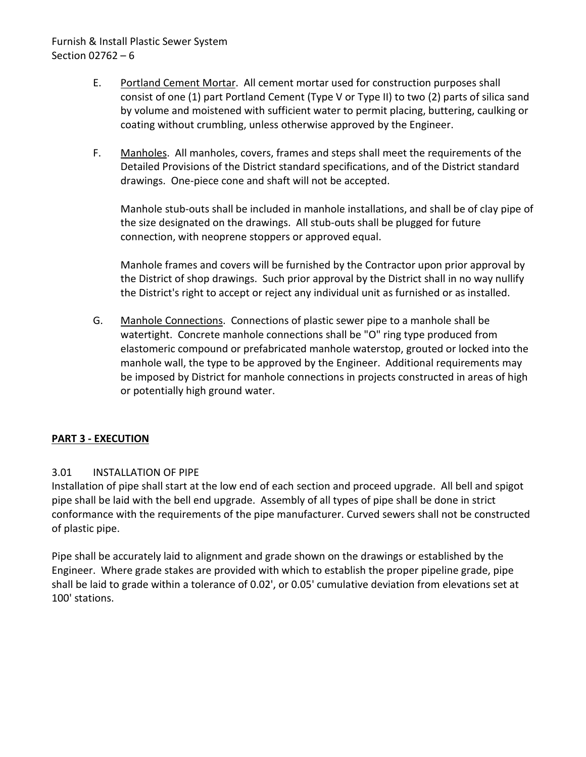- E. Portland Cement Mortar. All cement mortar used for construction purposes shall consist of one (1) part Portland Cement (Type V or Type II) to two (2) parts of silica sand by volume and moistened with sufficient water to permit placing, buttering, caulking or coating without crumbling, unless otherwise approved by the Engineer.
- F. Manholes. All manholes, covers, frames and steps shall meet the requirements of the Detailed Provisions of the District standard specifications, and of the District standard drawings. One-piece cone and shaft will not be accepted.

Manhole stub-outs shall be included in manhole installations, and shall be of clay pipe of the size designated on the drawings. All stub-outs shall be plugged for future connection, with neoprene stoppers or approved equal.

Manhole frames and covers will be furnished by the Contractor upon prior approval by the District of shop drawings. Such prior approval by the District shall in no way nullify the District's right to accept or reject any individual unit as furnished or as installed.

G. Manhole Connections. Connections of plastic sewer pipe to a manhole shall be watertight. Concrete manhole connections shall be "O" ring type produced from elastomeric compound or prefabricated manhole waterstop, grouted or locked into the manhole wall, the type to be approved by the Engineer. Additional requirements may be imposed by District for manhole connections in projects constructed in areas of high or potentially high ground water.

## <span id="page-7-0"></span>**PART 3 - EXECUTION**

## <span id="page-7-1"></span>3.01 INSTALLATION OF PIPE

Installation of pipe shall start at the low end of each section and proceed upgrade. All bell and spigot pipe shall be laid with the bell end upgrade. Assembly of all types of pipe shall be done in strict conformance with the requirements of the pipe manufacturer. Curved sewers shall not be constructed of plastic pipe.

Pipe shall be accurately laid to alignment and grade shown on the drawings or established by the Engineer. Where grade stakes are provided with which to establish the proper pipeline grade, pipe shall be laid to grade within a tolerance of 0.02', or 0.05' cumulative deviation from elevations set at 100' stations.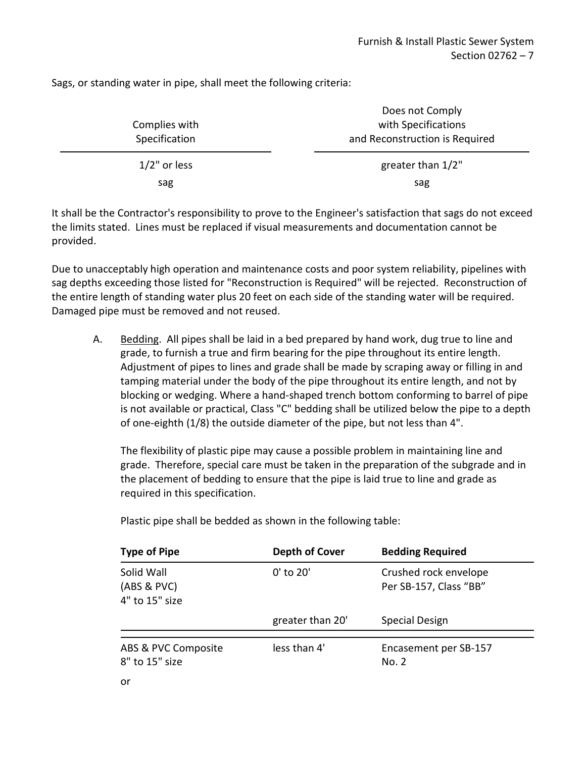Sags, or standing water in pipe, shall meet the following criteria:

| Complies with   | Does not Comply<br>with Specifications |
|-----------------|----------------------------------------|
| Specification   | and Reconstruction is Required         |
| $1/2$ " or less | greater than 1/2"                      |
| sag             | sag                                    |

It shall be the Contractor's responsibility to prove to the Engineer's satisfaction that sags do not exceed the limits stated. Lines must be replaced if visual measurements and documentation cannot be provided.

Due to unacceptably high operation and maintenance costs and poor system reliability, pipelines with sag depths exceeding those listed for "Reconstruction is Required" will be rejected. Reconstruction of the entire length of standing water plus 20 feet on each side of the standing water will be required. Damaged pipe must be removed and not reused.

A. Bedding. All pipes shall be laid in a bed prepared by hand work, dug true to line and grade, to furnish a true and firm bearing for the pipe throughout its entire length. Adjustment of pipes to lines and grade shall be made by scraping away or filling in and tamping material under the body of the pipe throughout its entire length, and not by blocking or wedging. Where a hand-shaped trench bottom conforming to barrel of pipe is not available or practical, Class "C" bedding shall be utilized below the pipe to a depth of one-eighth (1/8) the outside diameter of the pipe, but not less than 4".

The flexibility of plastic pipe may cause a possible problem in maintaining line and grade. Therefore, special care must be taken in the preparation of the subgrade and in the placement of bedding to ensure that the pipe is laid true to line and grade as required in this specification.

| <b>Type of Pipe</b>                         | Depth of Cover   | <b>Bedding Required</b>                         |
|---------------------------------------------|------------------|-------------------------------------------------|
| Solid Wall<br>(ABS & PVC)<br>4" to 15" size | 0' to 20'        | Crushed rock envelope<br>Per SB-157, Class "BB" |
|                                             | greater than 20' | Special Design                                  |
| ABS & PVC Composite                         | less than 4'     | Encasement per SB-157                           |
| 8" to 15" size                              |                  | No. 2                                           |

Plastic pipe shall be bedded as shown in the following table: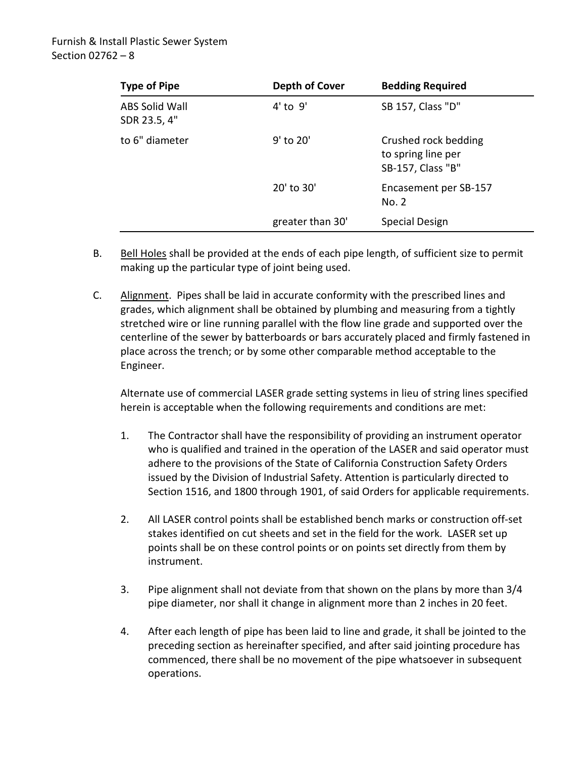| <b>Type of Pipe</b>                   | Depth of Cover   | <b>Bedding Required</b>                                         |
|---------------------------------------|------------------|-----------------------------------------------------------------|
| <b>ABS Solid Wall</b><br>SDR 23.5, 4" | $4'$ to $9'$     | SB 157, Class "D"                                               |
| to 6" diameter                        | $9'$ to 20'      | Crushed rock bedding<br>to spring line per<br>SB-157, Class "B" |
|                                       | 20' to 30'       | Encasement per SB-157<br>No. 2                                  |
|                                       | greater than 30' | Special Design                                                  |

- B. Bell Holes shall be provided at the ends of each pipe length, of sufficient size to permit making up the particular type of joint being used.
- C. Alignment. Pipes shall be laid in accurate conformity with the prescribed lines and grades, which alignment shall be obtained by plumbing and measuring from a tightly stretched wire or line running parallel with the flow line grade and supported over the centerline of the sewer by batterboards or bars accurately placed and firmly fastened in place across the trench; or by some other comparable method acceptable to the Engineer.

Alternate use of commercial LASER grade setting systems in lieu of string lines specified herein is acceptable when the following requirements and conditions are met:

- 1. The Contractor shall have the responsibility of providing an instrument operator who is qualified and trained in the operation of the LASER and said operator must adhere to the provisions of the State of California Construction Safety Orders issued by the Division of Industrial Safety. Attention is particularly directed to Section 1516, and 1800 through 1901, of said Orders for applicable requirements.
- 2. All LASER control points shall be established bench marks or construction off-set stakes identified on cut sheets and set in the field for the work. LASER set up points shall be on these control points or on points set directly from them by instrument.
- 3. Pipe alignment shall not deviate from that shown on the plans by more than 3/4 pipe diameter, nor shall it change in alignment more than 2 inches in 20 feet.
- 4. After each length of pipe has been laid to line and grade, it shall be jointed to the preceding section as hereinafter specified, and after said jointing procedure has commenced, there shall be no movement of the pipe whatsoever in subsequent operations.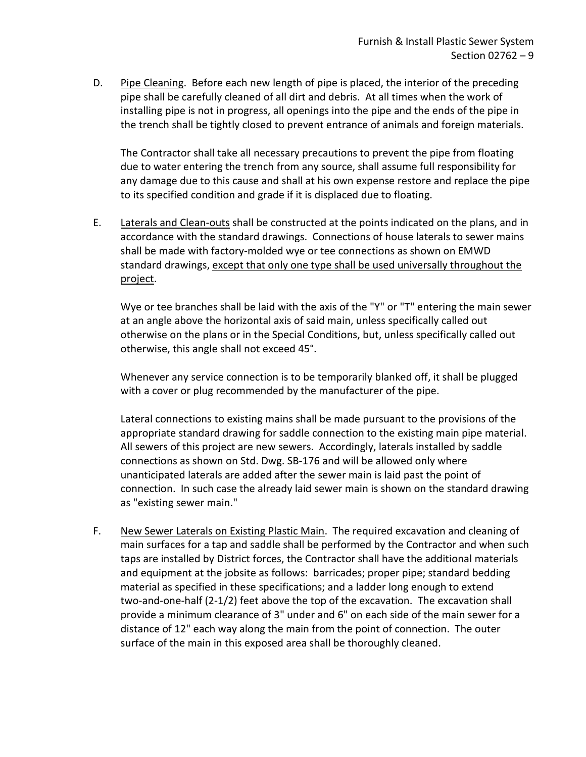D. Pipe Cleaning. Before each new length of pipe is placed, the interior of the preceding pipe shall be carefully cleaned of all dirt and debris. At all times when the work of installing pipe is not in progress, all openings into the pipe and the ends of the pipe in the trench shall be tightly closed to prevent entrance of animals and foreign materials.

The Contractor shall take all necessary precautions to prevent the pipe from floating due to water entering the trench from any source, shall assume full responsibility for any damage due to this cause and shall at his own expense restore and replace the pipe to its specified condition and grade if it is displaced due to floating.

E. Laterals and Clean-outs shall be constructed at the points indicated on the plans, and in accordance with the standard drawings. Connections of house laterals to sewer mains shall be made with factory-molded wye or tee connections as shown on EMWD standard drawings, except that only one type shall be used universally throughout the project.

Wye or tee branches shall be laid with the axis of the "Y" or "T" entering the main sewer at an angle above the horizontal axis of said main, unless specifically called out otherwise on the plans or in the Special Conditions, but, unless specifically called out otherwise, this angle shall not exceed 45°.

Whenever any service connection is to be temporarily blanked off, it shall be plugged with a cover or plug recommended by the manufacturer of the pipe.

Lateral connections to existing mains shall be made pursuant to the provisions of the appropriate standard drawing for saddle connection to the existing main pipe material. All sewers of this project are new sewers. Accordingly, laterals installed by saddle connections as shown on Std. Dwg. SB-176 and will be allowed only where unanticipated laterals are added after the sewer main is laid past the point of connection. In such case the already laid sewer main is shown on the standard drawing as "existing sewer main."

F. New Sewer Laterals on Existing Plastic Main. The required excavation and cleaning of main surfaces for a tap and saddle shall be performed by the Contractor and when such taps are installed by District forces, the Contractor shall have the additional materials and equipment at the jobsite as follows: barricades; proper pipe; standard bedding material as specified in these specifications; and a ladder long enough to extend two-and-one-half (2-1/2) feet above the top of the excavation. The excavation shall provide a minimum clearance of 3" under and 6" on each side of the main sewer for a distance of 12" each way along the main from the point of connection. The outer surface of the main in this exposed area shall be thoroughly cleaned.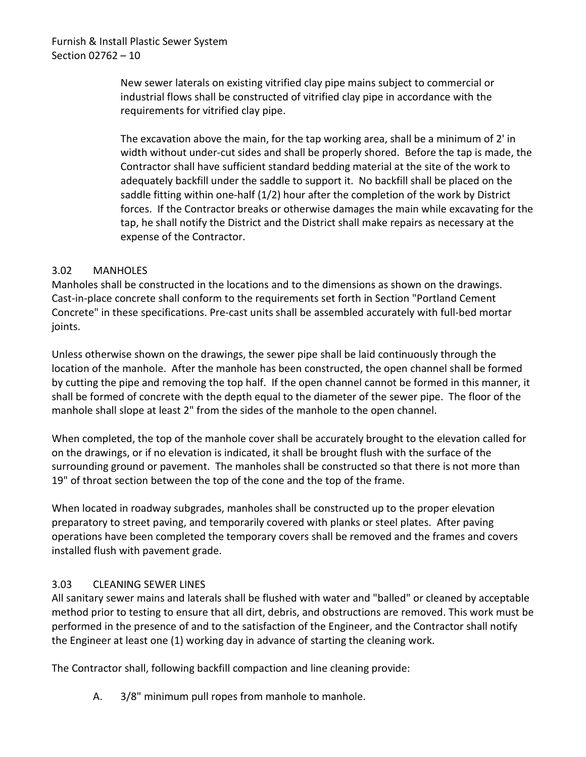New sewer laterals on existing vitrified clay pipe mains subject to commercial or industrial flows shall be constructed of vitrified clay pipe in accordance with the requirements for vitrified clay pipe.

The excavation above the main, for the tap working area, shall be a minimum of 2' in width without under-cut sides and shall be properly shored. Before the tap is made, the Contractor shall have sufficient standard bedding material at the site of the work to adequately backfill under the saddle to support it. No backfill shall be placed on the saddle fitting within one-half (1/2) hour after the completion of the work by District forces. If the Contractor breaks or otherwise damages the main while excavating for the tap, he shall notify the District and the District shall make repairs as necessary at the expense of the Contractor.

## <span id="page-11-0"></span>3.02 MANHOLES

Manholes shall be constructed in the locations and to the dimensions as shown on the drawings. Cast-in-place concrete shall conform to the requirements set forth in Section "Portland Cement Concrete" in these specifications. Pre-cast units shall be assembled accurately with full-bed mortar joints.

Unless otherwise shown on the drawings, the sewer pipe shall be laid continuously through the location of the manhole. After the manhole has been constructed, the open channel shall be formed by cutting the pipe and removing the top half. If the open channel cannot be formed in this manner, it shall be formed of concrete with the depth equal to the diameter of the sewer pipe. The floor of the manhole shall slope at least 2" from the sides of the manhole to the open channel.

When completed, the top of the manhole cover shall be accurately brought to the elevation called for on the drawings, or if no elevation is indicated, it shall be brought flush with the surface of the surrounding ground or pavement. The manholes shall be constructed so that there is not more than 19" of throat section between the top of the cone and the top of the frame.

When located in roadway subgrades, manholes shall be constructed up to the proper elevation preparatory to street paving, and temporarily covered with planks or steel plates. After paving operations have been completed the temporary covers shall be removed and the frames and covers installed flush with pavement grade.

## <span id="page-11-1"></span>3.03 CLEANING SEWER LINES

All sanitary sewer mains and laterals shall be flushed with water and "balled" or cleaned by acceptable method prior to testing to ensure that all dirt, debris, and obstructions are removed. This work must be performed in the presence of and to the satisfaction of the Engineer, and the Contractor shall notify the Engineer at least one (1) working day in advance of starting the cleaning work.

The Contractor shall, following backfill compaction and line cleaning provide:

A. 3/8" minimum pull ropes from manhole to manhole.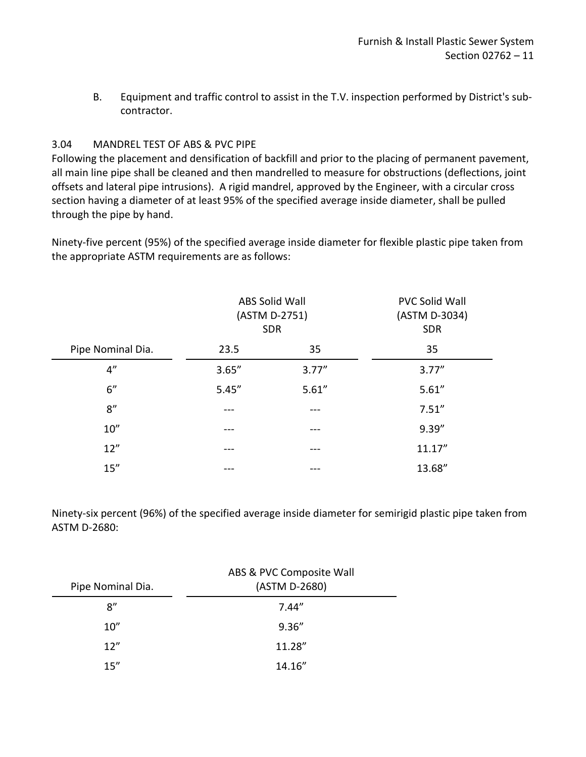B. Equipment and traffic control to assist in the T.V. inspection performed by District's subcontractor.

## <span id="page-12-0"></span>3.04 MANDREL TEST OF ABS & PVC PIPE

Following the placement and densification of backfill and prior to the placing of permanent pavement, all main line pipe shall be cleaned and then mandrelled to measure for obstructions (deflections, joint offsets and lateral pipe intrusions). A rigid mandrel, approved by the Engineer, with a circular cross section having a diameter of at least 95% of the specified average inside diameter, shall be pulled through the pipe by hand.

Ninety-five percent (95%) of the specified average inside diameter for flexible plastic pipe taken from the appropriate ASTM requirements are as follows:

|                   | ABS Solid Wall<br>(ASTM D-2751)<br><b>SDR</b> |        | <b>PVC Solid Wall</b><br>(ASTM D-3034)<br><b>SDR</b> |
|-------------------|-----------------------------------------------|--------|------------------------------------------------------|
| Pipe Nominal Dia. | 23.5                                          | 35     | 35                                                   |
| 4''               | 3.65''                                        | 3.77'' | 3.77''                                               |
| 6"                | 5.45''                                        | 5.61'' | 5.61''                                               |
| 8''               |                                               | ---    | 7.51''                                               |
| 10''              |                                               | ---    | 9.39''                                               |
| 12"               | ---                                           | ---    | 11.17''                                              |
| 15''              |                                               | ---    | 13.68"                                               |

Ninety-six percent (96%) of the specified average inside diameter for semirigid plastic pipe taken from ASTM D-2680:

| Pipe Nominal Dia. | ABS & PVC Composite Wall<br>(ASTM D-2680) |
|-------------------|-------------------------------------------|
| 8''               | 7.44''                                    |
| 10''              | 9.36''                                    |
| 12''              | 11.28"                                    |
| 15"               | 14.16"                                    |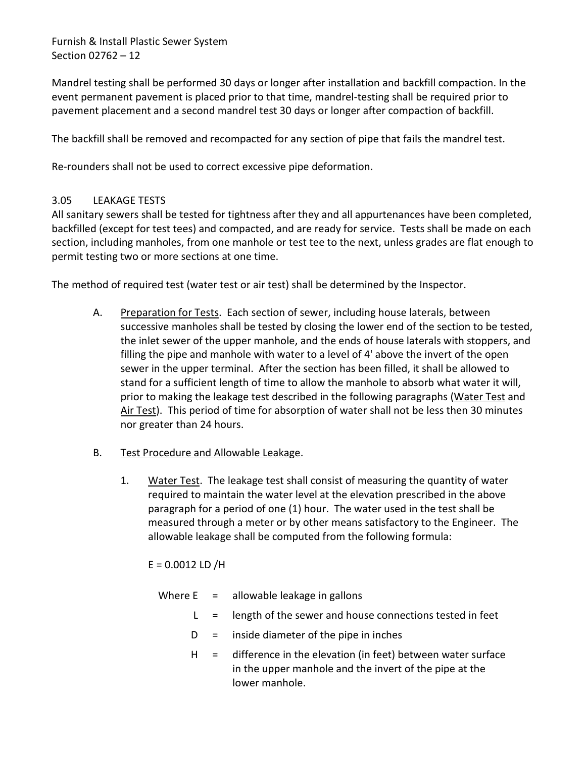Mandrel testing shall be performed 30 days or longer after installation and backfill compaction. In the event permanent pavement is placed prior to that time, mandrel-testing shall be required prior to pavement placement and a second mandrel test 30 days or longer after compaction of backfill.

The backfill shall be removed and recompacted for any section of pipe that fails the mandrel test.

Re-rounders shall not be used to correct excessive pipe deformation.

#### <span id="page-13-0"></span>3.05 LEAKAGE TESTS

All sanitary sewers shall be tested for tightness after they and all appurtenances have been completed, backfilled (except for test tees) and compacted, and are ready for service. Tests shall be made on each section, including manholes, from one manhole or test tee to the next, unless grades are flat enough to permit testing two or more sections at one time.

The method of required test (water test or air test) shall be determined by the Inspector.

- A. Preparation for Tests. Each section of sewer, including house laterals, between successive manholes shall be tested by closing the lower end of the section to be tested, the inlet sewer of the upper manhole, and the ends of house laterals with stoppers, and filling the pipe and manhole with water to a level of 4' above the invert of the open sewer in the upper terminal. After the section has been filled, it shall be allowed to stand for a sufficient length of time to allow the manhole to absorb what water it will, prior to making the leakage test described in the following paragraphs (Water Test and Air Test). This period of time for absorption of water shall not be less then 30 minutes nor greater than 24 hours.
- B. Test Procedure and Allowable Leakage.
	- 1. Water Test. The leakage test shall consist of measuring the quantity of water required to maintain the water level at the elevation prescribed in the above paragraph for a period of one (1) hour. The water used in the test shall be measured through a meter or by other means satisfactory to the Engineer. The allowable leakage shall be computed from the following formula:

 $E = 0.0012$  LD /H

|  | Where $E =$ allowable leakage in gallons                                                                                                                                                                                                                                                                                                                                                   |
|--|--------------------------------------------------------------------------------------------------------------------------------------------------------------------------------------------------------------------------------------------------------------------------------------------------------------------------------------------------------------------------------------------|
|  | $L =$ length of the sewer and house connections tested in feet                                                                                                                                                                                                                                                                                                                             |
|  | $D =$ inside diameter of the pipe in inches                                                                                                                                                                                                                                                                                                                                                |
|  | $\mathbf{r} \cdot \mathbf{r}$ , $\mathbf{r} \cdot \mathbf{r}$ , $\mathbf{r} \cdot \mathbf{r}$ , $\mathbf{r} \cdot \mathbf{r}$ , $\mathbf{r} \cdot \mathbf{r}$ , $\mathbf{r} \cdot \mathbf{r}$ , $\mathbf{r} \cdot \mathbf{r}$ , $\mathbf{r} \cdot \mathbf{r}$ , $\mathbf{r} \cdot \mathbf{r}$ , $\mathbf{r} \cdot \mathbf{r}$ , $\mathbf{r} \cdot \mathbf{r}$ , $\mathbf{r} \cdot \mathbf$ |

 $H =$  difference in the elevation (in feet) between water surface in the upper manhole and the invert of the pipe at the lower manhole.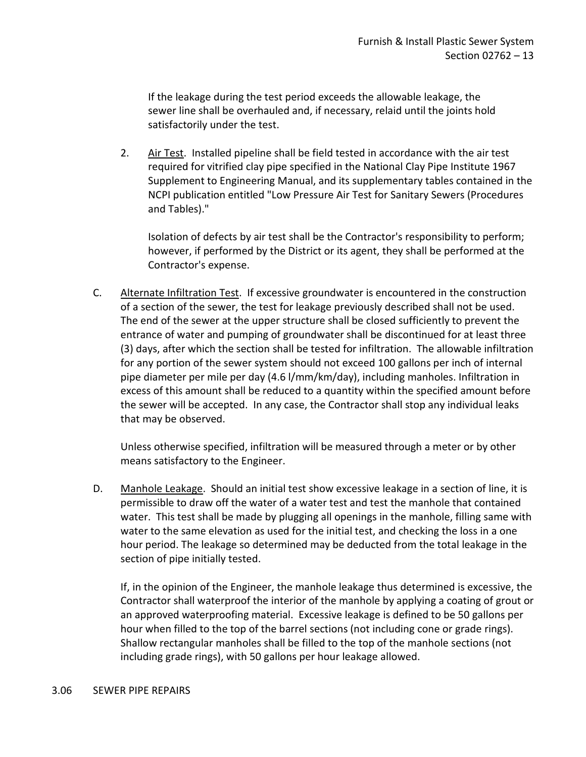If the leakage during the test period exceeds the allowable leakage, the sewer line shall be overhauled and, if necessary, relaid until the joints hold satisfactorily under the test.

2. Air Test. Installed pipeline shall be field tested in accordance with the air test required for vitrified clay pipe specified in the National Clay Pipe Institute 1967 Supplement to Engineering Manual, and its supplementary tables contained in the NCPI publication entitled "Low Pressure Air Test for Sanitary Sewers (Procedures and Tables)."

Isolation of defects by air test shall be the Contractor's responsibility to perform; however, if performed by the District or its agent, they shall be performed at the Contractor's expense.

C. Alternate Infiltration Test. If excessive groundwater is encountered in the construction of a section of the sewer, the test for leakage previously described shall not be used. The end of the sewer at the upper structure shall be closed sufficiently to prevent the entrance of water and pumping of groundwater shall be discontinued for at least three (3) days, after which the section shall be tested for infiltration. The allowable infiltration for any portion of the sewer system should not exceed 100 gallons per inch of internal pipe diameter per mile per day (4.6 l/mm/km/day), including manholes. Infiltration in excess of this amount shall be reduced to a quantity within the specified amount before the sewer will be accepted. In any case, the Contractor shall stop any individual leaks that may be observed.

Unless otherwise specified, infiltration will be measured through a meter or by other means satisfactory to the Engineer.

D. Manhole Leakage. Should an initial test show excessive leakage in a section of line, it is permissible to draw off the water of a water test and test the manhole that contained water. This test shall be made by plugging all openings in the manhole, filling same with water to the same elevation as used for the initial test, and checking the loss in a one hour period. The leakage so determined may be deducted from the total leakage in the section of pipe initially tested.

If, in the opinion of the Engineer, the manhole leakage thus determined is excessive, the Contractor shall waterproof the interior of the manhole by applying a coating of grout or an approved waterproofing material. Excessive leakage is defined to be 50 gallons per hour when filled to the top of the barrel sections (not including cone or grade rings). Shallow rectangular manholes shall be filled to the top of the manhole sections (not including grade rings), with 50 gallons per hour leakage allowed.

#### <span id="page-14-0"></span>3.06 SEWER PIPE REPAIRS